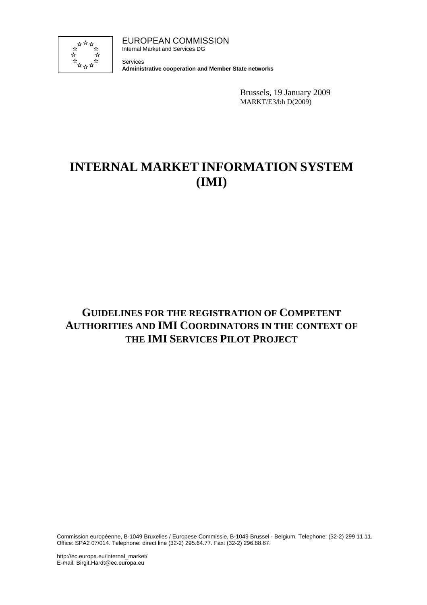

EUROPEAN COMMISSION Internal Market and Services DG

Services **Administrative cooperation and Member State networks**

> Brussels, 19 January 2009 MARKT/E3/bh D(2009)

# **INTERNAL MARKET INFORMATION SYSTEM (IMI)**

## **GUIDELINES FOR THE REGISTRATION OF COMPETENT AUTHORITIES AND IMI COORDINATORS IN THE CONTEXT OF THE IMI SERVICES PILOT PROJECT**

Commission européenne, B-1049 Bruxelles / Europese Commissie, B-1049 Brussel - Belgium. Telephone: (32-2) 299 11 11. Office: SPA2 07/014. Telephone: direct line (32-2) 295.64.77. Fax: (32-2) 296.88.67.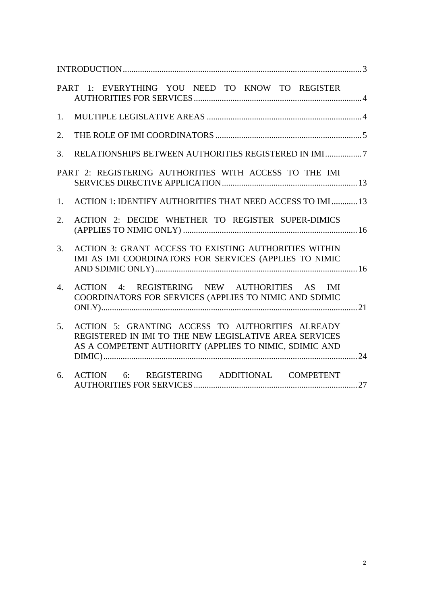| PART 1: EVERYTHING YOU NEED TO KNOW TO REGISTER                                                                                                                                        |
|----------------------------------------------------------------------------------------------------------------------------------------------------------------------------------------|
| 1.                                                                                                                                                                                     |
| 2.                                                                                                                                                                                     |
| 3.                                                                                                                                                                                     |
| PART 2: REGISTERING AUTHORITIES WITH ACCESS TO THE IMI                                                                                                                                 |
| ACTION 1: IDENTIFY AUTHORITIES THAT NEED ACCESS TO IMI  13<br>1.                                                                                                                       |
| ACTION 2: DECIDE WHETHER TO REGISTER SUPER-DIMICS<br>2.                                                                                                                                |
| <b>ACTION 3: GRANT ACCESS TO EXISTING AUTHORITIES WITHIN</b><br>3.<br>IMI AS IMI COORDINATORS FOR SERVICES (APPLIES TO NIMIC                                                           |
| ACTION 4: REGISTERING NEW AUTHORITIES AS IMI<br>4.<br>COORDINATORS FOR SERVICES (APPLIES TO NIMIC AND SDIMIC                                                                           |
| ACTION 5: GRANTING ACCESS TO AUTHORITIES ALREADY<br>5 <sub>1</sub><br>REGISTERED IN IMI TO THE NEW LEGISLATIVE AREA SERVICES<br>AS A COMPETENT AUTHORITY (APPLIES TO NIMIC, SDIMIC AND |
| ACTION 6: REGISTERING ADDITIONAL COMPETENT<br>6.                                                                                                                                       |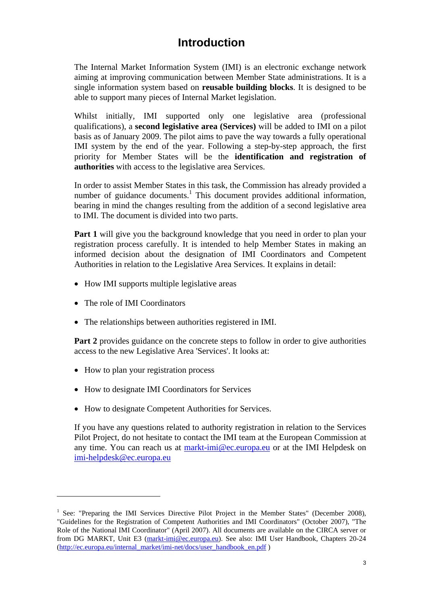## **Introduction**

<span id="page-2-0"></span>The Internal Market Information System (IMI) is an electronic exchange network aiming at improving communication between Member State administrations. It is a single information system based on **reusable building blocks**. It is designed to be able to support many pieces of Internal Market legislation.

Whilst initially, IMI supported only one legislative area (professional qualifications), a **second legislative area (Services)** will be added to IMI on a pilot basis as of January 2009. The pilot aims to pave the way towards a fully operational IMI system by the end of the year. Following a step-by-step approach, the first priority for Member States will be the **identification and registration of authorities** with access to the legislative area Services.

In order to assist Member States in this task, the Commission has already provided a number of guidance documents.<sup>1</sup> This document provides additional information, bearing in mind the changes resulting from the addition of a second legislative area to IMI. The document is divided into two parts.

**Part 1** will give you the background knowledge that you need in order to plan your registration process carefully. It is intended to help Member States in making an informed decision about the designation of IMI Coordinators and Competent Authorities in relation to the Legislative Area Services. It explains in detail:

- How IMI supports multiple legislative areas
- The role of IMI Coordinators

 $\overline{a}$ 

• The relationships between authorities registered in IMI.

**Part 2** provides guidance on the concrete steps to follow in order to give authorities access to the new Legislative Area 'Services'. It looks at:

- How to plan your registration process
- How to designate IMI Coordinators for Services
- How to designate Competent Authorities for Services.

If you have any questions related to authority registration in relation to the Services Pilot Project, do not hesitate to contact the IMI team at the European Commission at any time. You can reach us at [markt-imi@ec.europa.eu](mailto:markt-imi@ec.europa.eu) or at the IMI Helpdesk on [imi-helpdesk@ec.europa.eu](mailto:imi-helpdesk@ec.europa.eu) 

<sup>&</sup>lt;sup>1</sup> See: "Preparing the IMI Services Directive Pilot Project in the Member States" (December 2008), "Guidelines for the Registration of Competent Authorities and IMI Coordinators" (October 2007), "The Role of the National IMI Coordinator" (April 2007). All documents are available on the CIRCA server or from DG MARKT, Unit E3 [\(markt-imi@ec.europa.eu\)](mailto:markt-imi@ec.europa.eu). See also: IMI User Handbook, Chapters 20-24 [\(http://ec.europa.eu/internal\\_market/imi-net/docs/user\\_handbook\\_en.pdf \)](http://ec.europa.eu/internal_market/imi-net/docs/user_handbook_en.pdf)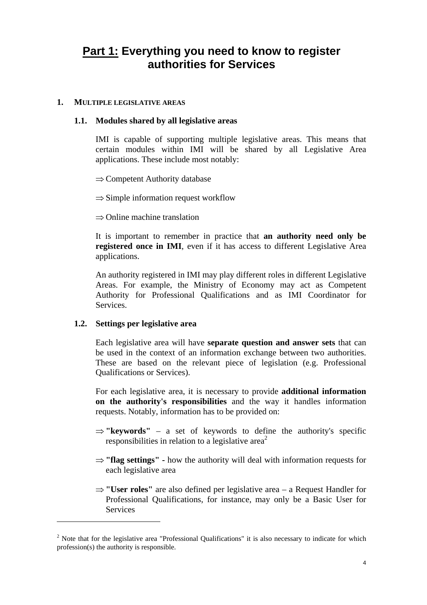## <span id="page-3-0"></span>**Part 1: Everything you need to know to register authorities for Services**

#### <span id="page-3-1"></span>**1. MULTIPLE LEGISLATIVE AREAS**

#### **1.1. Modules shared by all legislative areas**

IMI is capable of supporting multiple legislative areas. This means that certain modules within IMI will be shared by all Legislative Area applications. These include most notably:

⇒ Competent Authority database

 $\Rightarrow$  Simple information request workflow

⇒ Online machine translation

It is important to remember in practice that **an authority need only be registered once in IMI**, even if it has access to different Legislative Area applications.

An authority registered in IMI may play different roles in different Legislative Areas. For example, the Ministry of Economy may act as Competent Authority for Professional Qualifications and as IMI Coordinator for **Services** 

#### **1.2. Settings per legislative area**

 $\overline{a}$ 

Each legislative area will have **separate question and answer sets** that can be used in the context of an information exchange between two authorities. These are based on the relevant piece of legislation (e.g. Professional Qualifications or Services).

For each legislative area, it is necessary to provide **additional information on the authority's responsibilities** and the way it handles information requests. Notably, information has to be provided on:

- ⇒ **"keywords"** a set of keywords to define the authority's specific responsibilities in relation to a legislative area<sup>2</sup>
- ⇒ **"flag settings"** how the authority will deal with information requests for each legislative area
- ⇒ **"User roles"** are also defined per legislative area a Request Handler for Professional Qualifications, for instance, may only be a Basic User for Services

 $2$  Note that for the legislative area "Professional Qualifications" it is also necessary to indicate for which profession(s) the authority is responsible.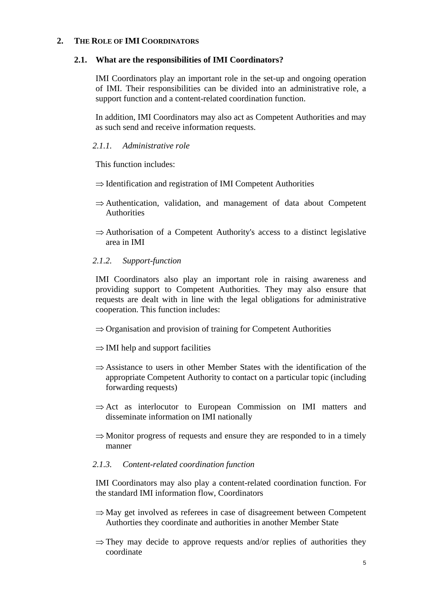#### <span id="page-4-0"></span>**2. THE ROLE OF IMI COORDINATORS**

#### **2.1. What are the responsibilities of IMI Coordinators?**

IMI Coordinators play an important role in the set-up and ongoing operation of IMI. Their responsibilities can be divided into an administrative role, a support function and a content-related coordination function.

In addition, IMI Coordinators may also act as Competent Authorities and may as such send and receive information requests.

### *2.1.1. Administrative role*

This function includes:

- ⇒ Identification and registration of IMI Competent Authorities
- ⇒ Authentication, validation, and management of data about Competent Authorities
- $\Rightarrow$  Authorisation of a Competent Authority's access to a distinct legislative area in IMI

## *2.1.2. Support-function*

IMI Coordinators also play an important role in raising awareness and providing support to Competent Authorities. They may also ensure that requests are dealt with in line with the legal obligations for administrative cooperation. This function includes:

- ⇒ Organisation and provision of training for Competent Authorities
- $\Rightarrow$  IMI help and support facilities
- $\Rightarrow$  Assistance to users in other Member States with the identification of the appropriate Competent Authority to contact on a particular topic (including forwarding requests)
- $\Rightarrow$  Act as interlocutor to European Commission on IMI matters and disseminate information on IMI nationally
- $\Rightarrow$  Monitor progress of requests and ensure they are responded to in a timely manner

## *2.1.3. Content-related coordination function*

IMI Coordinators may also play a content-related coordination function. For the standard IMI information flow, Coordinators

- $\Rightarrow$  May get involved as referees in case of disagreement between Competent Authorties they coordinate and authorities in another Member State
- $\Rightarrow$  They may decide to approve requests and/or replies of authorities they coordinate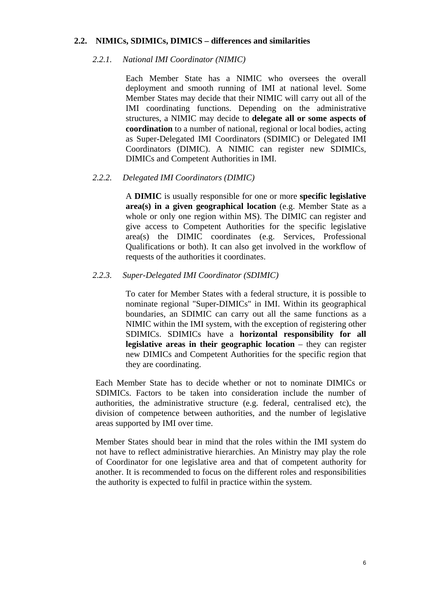#### **2.2. NIMICs, SDIMICs, DIMICS – differences and similarities**

#### *2.2.1. National IMI Coordinator (NIMIC)*

Each Member State has a NIMIC who oversees the overall deployment and smooth running of IMI at national level. Some Member States may decide that their NIMIC will carry out all of the IMI coordinating functions. Depending on the administrative structures, a NIMIC may decide to **delegate all or some aspects of coordination** to a number of national, regional or local bodies, acting as Super-Delegated IMI Coordinators (SDIMIC) or Delegated IMI Coordinators (DIMIC). A NIMIC can register new SDIMICs, DIMICs and Competent Authorities in IMI.

#### *2.2.2. Delegated IMI Coordinators (DIMIC)*

A **DIMIC** is usually responsible for one or more **specific legislative area(s) in a given geographical location** (e.g. Member State as a whole or only one region within MS). The DIMIC can register and give access to Competent Authorities for the specific legislative area(s) the DIMIC coordinates (e.g. Services, Professional Qualifications or both). It can also get involved in the workflow of requests of the authorities it coordinates.

#### *2.2.3. Super-Delegated IMI Coordinator (SDIMIC)*

To cater for Member States with a federal structure, it is possible to nominate regional "Super-DIMICs" in IMI. Within its geographical boundaries, an SDIMIC can carry out all the same functions as a NIMIC within the IMI system, with the exception of registering other SDIMICs. SDIMICs have a **horizontal responsibility for all legislative areas in their geographic location** – they can register new DIMICs and Competent Authorities for the specific region that they are coordinating.

Each Member State has to decide whether or not to nominate DIMICs or SDIMICs. Factors to be taken into consideration include the number of authorities, the administrative structure (e.g. federal, centralised etc), the division of competence between authorities, and the number of legislative areas supported by IMI over time.

Member States should bear in mind that the roles within the IMI system do not have to reflect administrative hierarchies. An Ministry may play the role of Coordinator for one legislative area and that of competent authority for another. It is recommended to focus on the different roles and responsibilities the authority is expected to fulfil in practice within the system.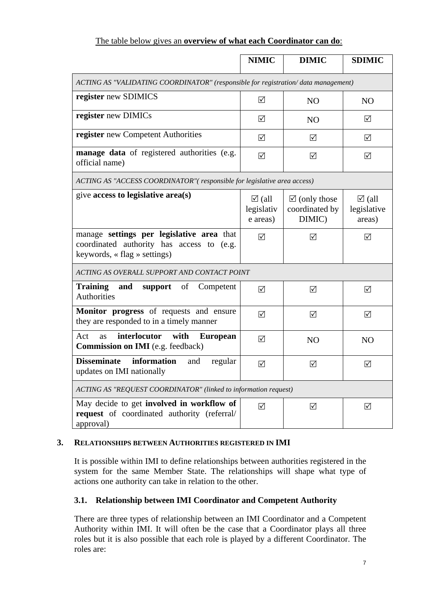## The table below gives an **overview of what each Coordinator can do**:

|                                                                                                                        | <b>NIMIC</b>                               | <b>DIMIC</b>                                        | <b>SDIMIC</b>                             |
|------------------------------------------------------------------------------------------------------------------------|--------------------------------------------|-----------------------------------------------------|-------------------------------------------|
| ACTING AS "VALIDATING COORDINATOR" (responsible for registration/data management)                                      |                                            |                                                     |                                           |
| register new SDIMICS                                                                                                   | ☑                                          | N <sub>O</sub>                                      | N <sub>O</sub>                            |
| register new DIMICs                                                                                                    | ☑                                          | NO                                                  | ☑                                         |
| register new Competent Authorities                                                                                     | ☑                                          | ☑                                                   | ☑                                         |
| manage data of registered authorities (e.g.<br>official name)                                                          | ☑                                          | ☑                                                   | ☑                                         |
| ACTING AS "ACCESS COORDINATOR" (responsible for legislative area access)                                               |                                            |                                                     |                                           |
| give access to legislative area(s)                                                                                     | $\boxtimes$ (all<br>legislativ<br>e areas) | $\boxtimes$ (only those<br>coordinated by<br>DIMIC) | $\boxtimes$ (all<br>legislative<br>areas) |
| manage settings per legislative area that<br>coordinated authority has access to (e.g.<br>keywords, « flag » settings) | $\triangledown$                            | ☑                                                   | $\triangledown$                           |
| ACTING AS OVERALL SUPPORT AND CONTACT POINT                                                                            |                                            |                                                     |                                           |
| <b>Training</b><br>and<br>of<br>support<br>Competent<br><b>Authorities</b>                                             | ☑                                          | ☑                                                   | ☑                                         |
| Monitor progress of requests and ensure<br>they are responded to in a timely manner                                    | ☑                                          | ☑                                                   | ☑                                         |
| with<br>interlocutor<br>Act<br><b>European</b><br>as<br><b>Commission on IMI</b> (e.g. feedback)                       | ☑                                          | N <sub>O</sub>                                      | N <sub>O</sub>                            |
| <b>Disseminate</b><br>information<br>and<br>regular<br>updates on IMI nationally                                       | ☑                                          | ☑                                                   | ☑                                         |
| ACTING AS "REQUEST COORDINATOR" (linked to information request)                                                        |                                            |                                                     |                                           |
| May decide to get involved in workflow of<br>request of coordinated authority (referral/<br>approval)                  | $\sqrt{}$                                  | ☑                                                   | ☑                                         |

## <span id="page-6-0"></span>**3. RELATIONSHIPS BETWEEN AUTHORITIES REGISTERED IN IMI**

It is possible within IMI to define relationships between authorities registered in the system for the same Member State. The relationships will shape what type of actions one authority can take in relation to the other.

## **3.1. Relationship between IMI Coordinator and Competent Authority**

There are three types of relationship between an IMI Coordinator and a Competent Authority within IMI. It will often be the case that a Coordinator plays all three roles but it is also possible that each role is played by a different Coordinator. The roles are: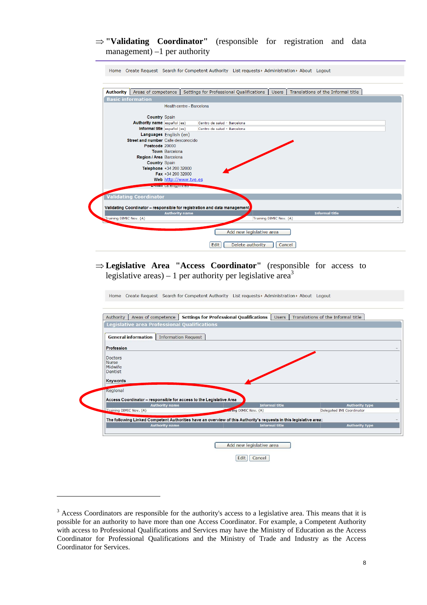#### ⇒ **"Validating Coordinator"** (responsible for registration and data management) –1 per authority



## ⇒ **Legislative Area "Access Coordinator"** (responsible for access to legislative areas) – 1 per authority per legislative area<sup>3</sup>

Home Create Request Search for Competent Authority List requests ▶ Administration ▶ About Logout



 $3$  Access Coordinators are responsible for the authority's access to a legislative area. This means that it is possible for an authority to have more than one Access Coordinator. For example, a Competent Authority with access to Professional Qualifications and Services may have the Ministry of Education as the Access Coordinator for Professional Qualifications and the Ministry of Trade and Industry as the Access Coordinator for Services.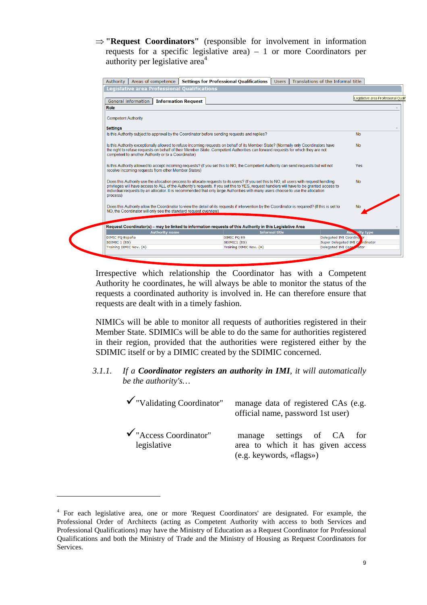⇒ **"Request Coordinators"** (responsible for involvement in information requests for a specific legislative area) – 1 or more Coordinators per authority per legislative area<sup>4</sup>

| General information<br><b>Information Request</b><br>Role                                     |                                                                                                                                                                                                                                                                                                                                                                                                                            |                                  |
|-----------------------------------------------------------------------------------------------|----------------------------------------------------------------------------------------------------------------------------------------------------------------------------------------------------------------------------------------------------------------------------------------------------------------------------------------------------------------------------------------------------------------------------|----------------------------------|
| <b>Competent Authority</b>                                                                    |                                                                                                                                                                                                                                                                                                                                                                                                                            |                                  |
| <b>Settings</b>                                                                               |                                                                                                                                                                                                                                                                                                                                                                                                                            |                                  |
| Is this Authority subject to approval by the Coordinator before sending requests and replies? |                                                                                                                                                                                                                                                                                                                                                                                                                            | <b>No</b>                        |
| competent to another Authority or to a Coordinator)                                           | Is this Authority exceptionally allowed to refuse incoming requests on behalf of its Member State? (Normally only Coordinators have<br>the right to refuse requests on behalf of their Member State. Competent Authorities can forward requests for which they are not                                                                                                                                                     | <b>No</b>                        |
| receive incoming requests from other Member States)                                           | Is this Authority allowed to accept incoming requests? (If you set this to NO, the Competent Authority can send requests but will not                                                                                                                                                                                                                                                                                      | <b>Yes</b>                       |
| process)                                                                                      | Does this Authority use the allocation process to allocate requests to its users? (If you set this to NO, all users with request handling<br>privileges will have access to ALL of the Authority's requests. If you set this to YES, request handlers will have to be granted access to<br>individual requests by an allocator. It is recommended that only large Authorities with many users choose to use the allocation | <b>No</b>                        |
| NO, the Coordinator will only see the standard request overview)                              | Does this Authority allow the Coordinator to view the detail of its requests if intervention by the Coordinator is required? (If this is set to                                                                                                                                                                                                                                                                            | No                               |
|                                                                                               |                                                                                                                                                                                                                                                                                                                                                                                                                            |                                  |
| <b>Authority name</b>                                                                         | Request Coordinator(s) – may be linked to information requests of this Authority in this Legislative Area<br><b>Informal title</b>                                                                                                                                                                                                                                                                                         | vity type<br>Aus.                |
| DIMIC PQ España                                                                               | <b>DIMIC PO ES</b>                                                                                                                                                                                                                                                                                                                                                                                                         | Delegated IMI Coordina, pr       |
|                                                                                               | SDIMIC1 (ES)                                                                                                                                                                                                                                                                                                                                                                                                               | Super Delegated IMI Contribution |

Irrespective which relationship the Coordinator has with a Competent Authority he coordinates, he will always be able to monitor the status of the requests a coordinated authority is involved in. He can therefore ensure that requests are dealt with in a timely fashion.

NIMICs will be able to monitor all requests of authorities registered in their Member State. SDIMICs will be able to do the same for authorities registered in their region, provided that the authorities were registered either by the SDIMIC itself or by a DIMIC created by the SDIMIC concerned.

*3.1.1. If a Coordinator registers an authority in IMI, it will automatically be the authority's…* 

| $\checkmark$ "Validating Coordinator"            | manage data of registered CAs (e.g.<br>official name, password 1st user)                   |
|--------------------------------------------------|--------------------------------------------------------------------------------------------|
| $\checkmark$ "Access Coordinator"<br>legislative | manage settings of CA for<br>area to which it has given access<br>(e.g. keywords, «flags») |

<sup>&</sup>lt;sup>4</sup> For each legislative area, one or more 'Request Coordinators' are designated. For example, the Professional Order of Architects (acting as Competent Authority with access to both Services and Professional Qualifications) may have the Ministry of Education as a Request Coordinator for Professional Qualifications and both the Ministry of Trade and the Ministry of Housing as Request Coordinators for Services.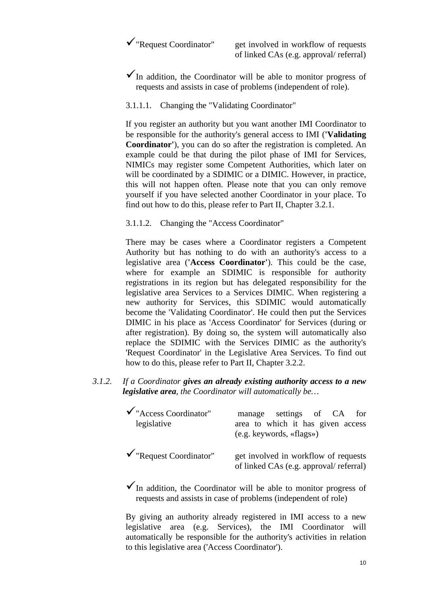$\checkmark$  "Request Coordinator" get involved in workflow of requests of linked CAs (e.g. approval/ referral)

- $\checkmark$  In addition, the Coordinator will be able to monitor progress of requests and assists in case of problems (independent of role).
- 3.1.1.1. Changing the "Validating Coordinator"

If you register an authority but you want another IMI Coordinator to be responsible for the authority's general access to IMI (**'Validating Coordinator'**), you can do so after the registration is completed. An example could be that during the pilot phase of IMI for Services, NIMICs may register some Competent Authorities, which later on will be coordinated by a SDIMIC or a DIMIC. However, in practice, this will not happen often. Please note that you can only remove yourself if you have selected another Coordinator in your place. To find out how to do this, please refer to Part II, Chapter 3.2.1.

3.1.1.2. Changing the "Access Coordinator"

There may be cases where a Coordinator registers a Competent Authority but has nothing to do with an authority's access to a legislative area (**'Access Coordinator'**). This could be the case, where for example an SDIMIC is responsible for authority registrations in its region but has delegated responsibility for the legislative area Services to a Services DIMIC. When registering a new authority for Services, this SDIMIC would automatically become the 'Validating Coordinator'. He could then put the Services DIMIC in his place as 'Access Coordinator' for Services (during or after registration). By doing so, the system will automatically also replace the SDIMIC with the Services DIMIC as the authority's 'Request Coordinator' in the Legislative Area Services. To find out how to do this, please refer to Part II, Chapter 3.2.2.

*3.1.2. If a Coordinator gives an already existing authority access to a new legislative area, the Coordinator will automatically be…* 

| $\checkmark$ "Access Coordinator"<br>legislative | manage settings of CA for<br>area to which it has given access<br>$(e.g.$ keywords, «flags») |
|--------------------------------------------------|----------------------------------------------------------------------------------------------|
| $\checkmark$ "Request Coordinator"               | get involved in workflow of requests<br>of linked CAs (e.g. approval/ referral)              |

 $\checkmark$  In addition, the Coordinator will be able to monitor progress of requests and assists in case of problems (independent of role)

By giving an authority already registered in IMI access to a new legislative area (e.g. Services), the IMI Coordinator will automatically be responsible for the authority's activities in relation to this legislative area ('Access Coordinator').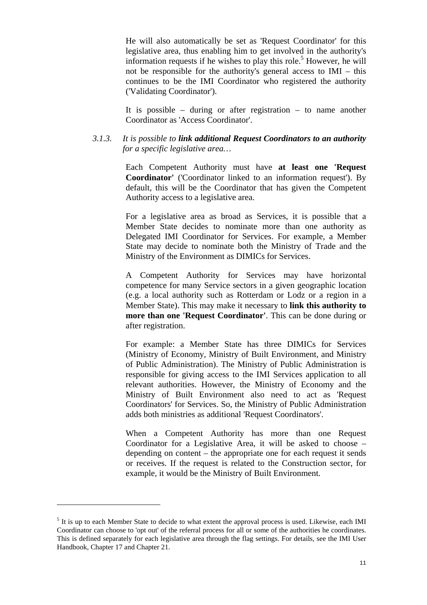He will also automatically be set as 'Request Coordinator' for this legislative area, thus enabling him to get involved in the authority's information requests if he wishes to play this role.<sup>5</sup> However, he will not be responsible for the authority's general access to IMI – this continues to be the IMI Coordinator who registered the authority ('Validating Coordinator').

It is possible – during or after registration – to name another Coordinator as 'Access Coordinator'.

#### *3.1.3. It is possible to link additional Request Coordinators to an authority for a specific legislative area…*

Each Competent Authority must have **at least one 'Request Coordinator'** ('Coordinator linked to an information request'). By default, this will be the Coordinator that has given the Competent Authority access to a legislative area.

For a legislative area as broad as Services, it is possible that a Member State decides to nominate more than one authority as Delegated IMI Coordinator for Services. For example, a Member State may decide to nominate both the Ministry of Trade and the Ministry of the Environment as DIMICs for Services.

A Competent Authority for Services may have horizontal competence for many Service sectors in a given geographic location (e.g. a local authority such as Rotterdam or Lodz or a region in a Member State). This may make it necessary to **link this authority to more than one 'Request Coordinator'**. This can be done during or after registration.

For example: a Member State has three DIMICs for Services (Ministry of Economy, Ministry of Built Environment, and Ministry of Public Administration). The Ministry of Public Administration is responsible for giving access to the IMI Services application to all relevant authorities. However, the Ministry of Economy and the Ministry of Built Environment also need to act as 'Request Coordinators' for Services. So, the Ministry of Public Administration adds both ministries as additional 'Request Coordinators'.

When a Competent Authority has more than one Request Coordinator for a Legislative Area, it will be asked to choose – depending on content – the appropriate one for each request it sends or receives. If the request is related to the Construction sector, for example, it would be the Ministry of Built Environment.

<sup>&</sup>lt;sup>5</sup> It is up to each Member State to decide to what extent the approval process is used. Likewise, each IMI Coordinator can choose to 'opt out' of the referral process for all or some of the authorities he coordinates. This is defined separately for each legislative area through the flag settings. For details, see the IMI User Handbook, Chapter 17 and Chapter 21.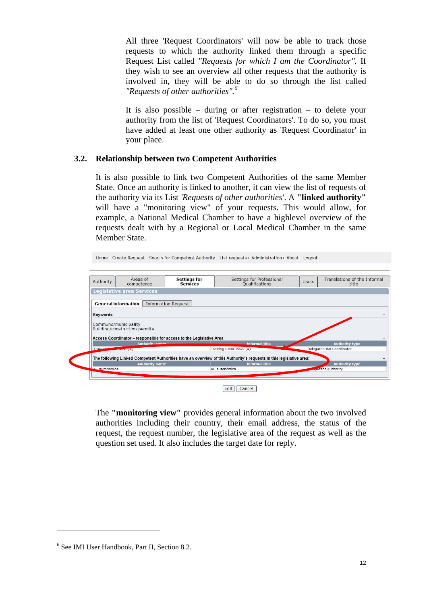All three 'Request Coordinators' will now be able to track those requests to which the authority linked them through a specific Request List called *"Requests for which I am the Coordinator".* If they wish to see an overview all other requests that the authority is involved in, they will be able to do so through the list called *"Requests of other authorities".6*

It is also possible – during or after registration – to delete your authority from the list of 'Request Coordinators'. To do so, you must have added at least one other authority as 'Request Coordinator' in your place.

#### **3.2. Relationship between two Competent Authorities**

It is also possible to link two Competent Authorities of the same Member State. Once an authority is linked to another, it can view the list of requests of the authority via its List *'Requests of other authorities'*. A **"linked authority"**  will have a "monitoring view" of your requests. This would allow, for example, a National Medical Chamber to have a highlevel overview of the requests dealt with by a Regional or Local Medical Chamber in the same Member State.

|  | Home Create Request Search for Competent Authority List requests > Administration > About Logout |  |  |  |
|--|--------------------------------------------------------------------------------------------------|--|--|--|
|  |                                                                                                  |  |  |  |

| Authority       | Areas of<br>competence                                | <b>Settings for</b><br><b>Services</b>                              | Settings for Professional<br><b>Qualifications</b>                                                                                          | <b>Users</b> | Translations of the Informal<br>title |
|-----------------|-------------------------------------------------------|---------------------------------------------------------------------|---------------------------------------------------------------------------------------------------------------------------------------------|--------------|---------------------------------------|
|                 | <b>Legislative area Services</b>                      |                                                                     |                                                                                                                                             |              |                                       |
|                 | <b>General information</b>                            | <b>Information Request</b>                                          |                                                                                                                                             |              |                                       |
| <b>Keywords</b> |                                                       |                                                                     |                                                                                                                                             |              |                                       |
|                 |                                                       |                                                                     |                                                                                                                                             |              |                                       |
|                 | Commune/municipality<br>Building/construction permits | Access Coordinator - responsible for access to the Legislative Area |                                                                                                                                             |              |                                       |
|                 | <b>Authority name</b>                                 |                                                                     | <b>Informal title</b>                                                                                                                       |              | <b>Authority type</b>                 |
| Training        | <b>CAR AND STATE OF THE USE</b>                       |                                                                     | Training DIMIC Nov. (A)                                                                                                                     |              | Delegated IMI Coordinator             |
|                 | <b>Authority name</b>                                 |                                                                     | The following Linked Competent Authorities have an overview of this Authority's requests in this legislative area:<br><b>Informal title</b> |              | <b>Authority type</b>                 |

Edit Cancel

The **"monitoring view"** provides general information about the two involved authorities including their country, their email address, the status of the request, the request number, the legislative area of the request as well as the question set used. It also includes the target date for reply.

<sup>6</sup> See IMI User Handbook, Part II, Section 8.2.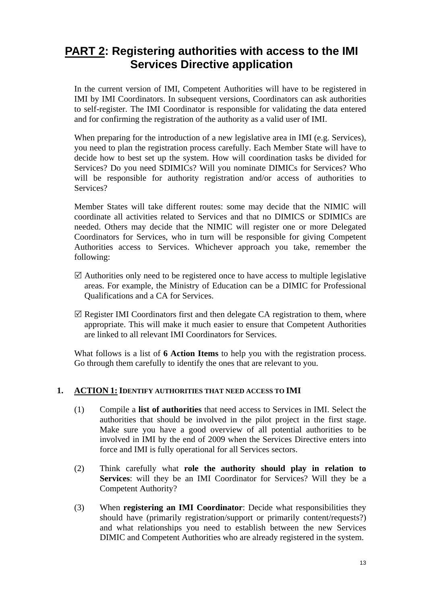## <span id="page-12-0"></span>**PART 2: Registering authorities with access to the IMI Services Directive application**

In the current version of IMI, Competent Authorities will have to be registered in IMI by IMI Coordinators. In subsequent versions, Coordinators can ask authorities to self-register. The IMI Coordinator is responsible for validating the data entered and for confirming the registration of the authority as a valid user of IMI.

When preparing for the introduction of a new legislative area in IMI (e.g. Services), you need to plan the registration process carefully. Each Member State will have to decide how to best set up the system. How will coordination tasks be divided for Services? Do you need SDIMICs? Will you nominate DIMICs for Services? Who will be responsible for authority registration and/or access of authorities to Services?

Member States will take different routes: some may decide that the NIMIC will coordinate all activities related to Services and that no DIMICS or SDIMICs are needed. Others may decide that the NIMIC will register one or more Delegated Coordinators for Services, who in turn will be responsible for giving Competent Authorities access to Services. Whichever approach you take, remember the following:

- $\boxtimes$  Authorities only need to be registered once to have access to multiple legislative areas. For example, the Ministry of Education can be a DIMIC for Professional Qualifications and a CA for Services.
- $\mathbb Z$  Register IMI Coordinators first and then delegate CA registration to them, where appropriate. This will make it much easier to ensure that Competent Authorities are linked to all relevant IMI Coordinators for Services.

What follows is a list of **6 Action Items** to help you with the registration process. Go through them carefully to identify the ones that are relevant to you.

## <span id="page-12-1"></span>**1. ACTION 1: IDENTIFY AUTHORITIES THAT NEED ACCESS TO IMI**

- (1) Compile a **list of authorities** that need access to Services in IMI. Select the authorities that should be involved in the pilot project in the first stage. Make sure you have a good overview of all potential authorities to be involved in IMI by the end of 2009 when the Services Directive enters into force and IMI is fully operational for all Services sectors.
- (2) Think carefully what **role the authority should play in relation to Services**: will they be an IMI Coordinator for Services? Will they be a Competent Authority?
- (3) When **registering an IMI Coordinator**: Decide what responsibilities they should have (primarily registration/support or primarily content/requests?) and what relationships you need to establish between the new Services DIMIC and Competent Authorities who are already registered in the system.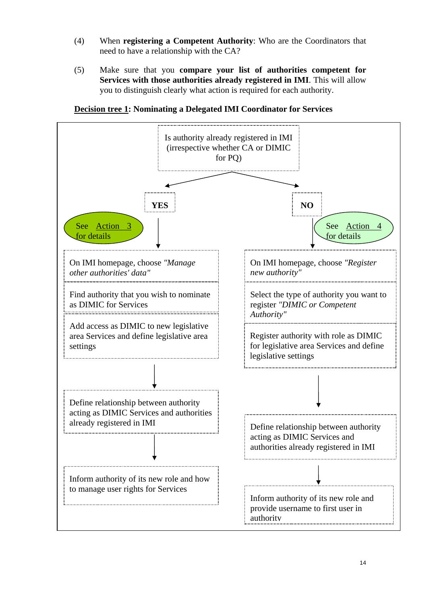- (4) When **registering a Competent Authority**: Who are the Coordinators that need to have a relationship with the CA?
- (5) Make sure that you **compare your list of authorities competent for Services with those authorities already registered in IMI**. This will allow you to distinguish clearly what action is required for each authority.

**Decision tree 1: Nominating a Delegated IMI Coordinator for Services** 

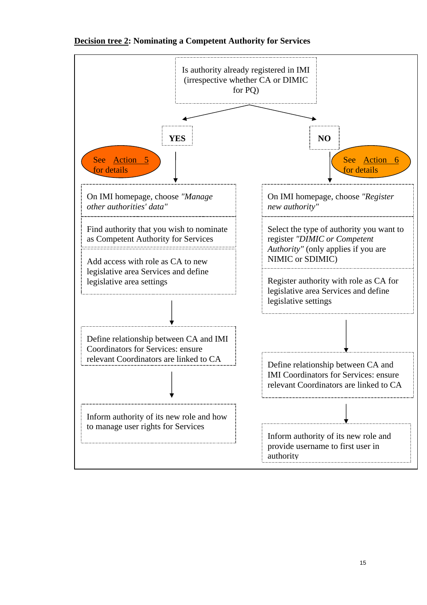

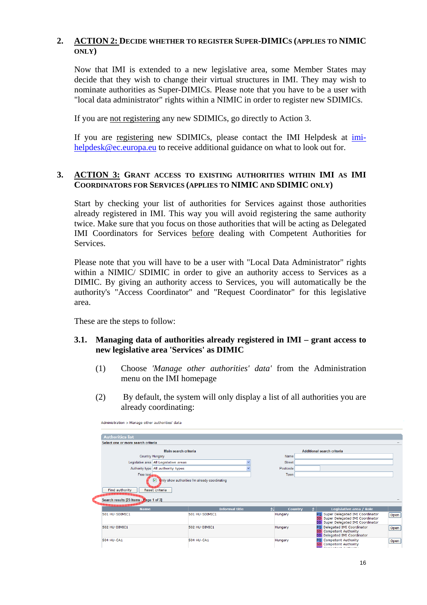## <span id="page-15-0"></span>**2. ACTION 2: DECIDE WHETHER TO REGISTER SUPER-DIMICS (APPLIES TO NIMIC ONLY)**

Now that IMI is extended to a new legislative area, some Member States may decide that they wish to change their virtual structures in IMI. They may wish to nominate authorities as Super-DIMICs. Please note that you have to be a user with "local data administrator" rights within a NIMIC in order to register new SDIMICs.

If you are not registering any new SDIMICs, go directly to Action 3.

If you are registering new SDIMICs, please contact the IMI Helpdesk at [imi](mailto:imi-helpdesk@ec.europa.eu)[helpdesk@ec.europa.eu t](mailto:imi-helpdesk@ec.europa.eu)o receive additional guidance on what to look out for.

#### <span id="page-15-1"></span>**3. ACTION 3: GRANT ACCESS TO EXISTING AUTHORITIES WITHIN IMI AS IMI COORDINATORS FOR SERVICES (APPLIES TO NIMIC AND SDIMIC ONLY)**

Start by checking your list of authorities for Services against those authorities already registered in IMI. This way you will avoid registering the same authority twice. Make sure that you focus on those authorities that will be acting as Delegated IMI Coordinators for Services before dealing with Competent Authorities for Services.

Please note that you will have to be a user with "Local Data Administrator" rights within a NIMIC/ SDIMIC in order to give an authority access to Services as a DIMIC. By giving an authority access to Services, you will automatically be the authority's "Access Coordinator" and "Request Coordinator" for this legislative area.

These are the steps to follow:

#### **3.1. Managing data of authorities already registered in IMI – grant access to new legislative area 'Services' as DIMIC**

- (1) Choose *'Manage other authorities' data'* from the Administration menu on the IMI homepage
- (2) By default, the system will only display a list of all authorities you are already coordinating:

| Administration > Manage other authorities' data                                  |                                                |               |                                                                                                                |      |
|----------------------------------------------------------------------------------|------------------------------------------------|---------------|----------------------------------------------------------------------------------------------------------------|------|
| <b>Authorities list</b>                                                          |                                                |               |                                                                                                                |      |
| Select one or more search criteria                                               |                                                |               |                                                                                                                |      |
|                                                                                  | Main search criteria                           |               | <b>Additional search criteria</b>                                                                              |      |
| <b>Country Hungary</b>                                                           |                                                | Name          |                                                                                                                |      |
| Legislative area All Legislative areas                                           |                                                | <b>Street</b> |                                                                                                                |      |
| Authority type All authority types                                               |                                                | Postcode      |                                                                                                                |      |
| Free text.                                                                       |                                                | Town          |                                                                                                                |      |
| ☑<br>Find authority<br>Reset criteria<br>Search results [23 Items - Page 1 of 3] | anly show authorities I'm already coordinating |               |                                                                                                                |      |
| <b>Name</b>                                                                      | <b>Informal title</b>                          | 21            | Legislative area / Role<br><b>Country</b>                                                                      |      |
| 501 HU-SDIMIC1                                                                   | 501 HU-SDIMIC1                                 | Hungary       | PQ Super Delegated IMI Coordinator<br>SD Super Delegated IMI Coordinator<br>DD Super Delegated IMI Coordinator | Open |
| 502 HU-DIMIC1                                                                    | 502 HU-DIMIC1                                  | Hungary       | PQ Delegated IMI Coordinator<br>SD Competent Authority<br>DD Delegated IMI Coordinator                         | Open |
| <b>504 HU-CA1</b>                                                                | <b>504 HU-CA1</b>                              | Hungary       | PQ Competent Authority<br><b>Competent Authority</b><br>SD.<br>وأعقده عندراه الدماعات فأسادها                  | Open |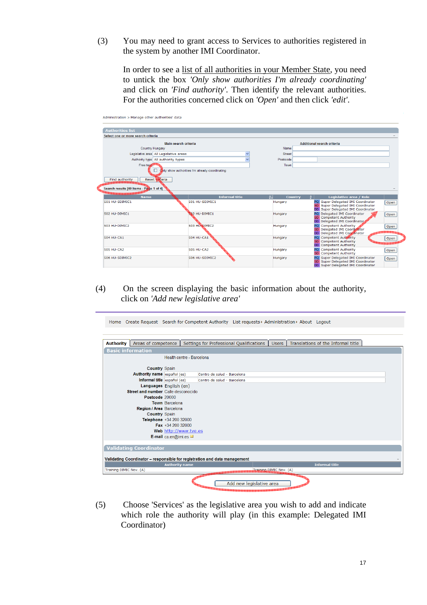(3) You may need to grant access to Services to authorities registered in the system by another IMI Coordinator.

In order to see a list of all authorities in your Member State, you need to untick the box *'Only show authorities I'm already coordinating'*  and click on *'Find authority'*. Then identify the relevant authorities. For the authorities concerned click on *'Open'* and then click *'edit'*.

| <b>Authorities list</b>                                                                        |                                                |                        |                                                                          |                                              |
|------------------------------------------------------------------------------------------------|------------------------------------------------|------------------------|--------------------------------------------------------------------------|----------------------------------------------|
| Select one or more search criteria                                                             |                                                |                        |                                                                          |                                              |
|                                                                                                | Main search criteria                           |                        | <b>Additional search criteria</b>                                        |                                              |
| Country Hungary                                                                                |                                                | Name                   |                                                                          |                                              |
| Legislative area All Legislative areas                                                         |                                                | $\checkmark$<br>Street |                                                                          |                                              |
| Authority type All authority types                                                             |                                                | Postcode               |                                                                          |                                              |
| Free text                                                                                      |                                                | Town                   |                                                                          |                                              |
|                                                                                                | Only show authorities I'm already coordinating |                        |                                                                          |                                              |
| Find authority<br>Reset criteria                                                               |                                                |                        |                                                                          |                                              |
|                                                                                                |                                                |                        |                                                                          |                                              |
| Search results [40 Items - Page 1 of 4]                                                        |                                                |                        |                                                                          |                                              |
|                                                                                                |                                                |                        |                                                                          |                                              |
|                                                                                                |                                                |                        |                                                                          |                                              |
| <b>Name</b>                                                                                    | <b>Informal title</b>                          | 41                     | Legislative area / Role<br>Country<br>$\triangle$                        |                                              |
|                                                                                                | 501 HU-SDIMIC1                                 | Hungary                | PQ Super Delegated IMI Coordinator<br>SD Super Delegated IMI Coordinator |                                              |
|                                                                                                |                                                |                        | DD Super Delegated IMI Coordinator                                       |                                              |
|                                                                                                | SQ2 HU-DIMIC1                                  | Hungary                | PO Delegated IMI Coordinator<br><b>SD</b> Competent Authority            |                                              |
|                                                                                                |                                                |                        | DD Delegated IMI Coordinator                                             |                                              |
|                                                                                                | 503 HU-DIMIC2                                  | Hungary                | PO Competent Authority                                                   |                                              |
|                                                                                                |                                                |                        | SD Delegated IMI Coordinator<br>DD Delegated IMI Coordinator             |                                              |
|                                                                                                | 504 HU-CA1                                     | Hungary                | PO Competent Authority                                                   |                                              |
|                                                                                                |                                                |                        | <b>SD</b> Competent Authority<br><b>DD</b> Competent Authority           |                                              |
|                                                                                                | 505 HU-CA2                                     | Hungary                | PO Competent Authority                                                   |                                              |
|                                                                                                |                                                |                        | <b>SD</b> Competent Authority                                            |                                              |
| 501 HU-SDIMIC1<br>502 HU-DIMIC1<br>503 HU-DIMIC2<br>504 HU-CA1<br>505 HU-CA2<br>506 HU-SDIMIC2 | 506 HU-SDIMIC2                                 | Hungary                | PQ Super Delegated IMI Coordinator<br>SD Super Delegated IMI Coordinator | Open<br>Open<br>Open<br>Open<br>Open<br>Open |

## (4) On the screen displaying the basic information about the authority, click on *'Add new legislative area'*

Home Create Request Search for Competent Authority List requests > Administration > About Logout

| <b>Authority</b>         | Areas of competence                 |                           |                                                                           | <b>Users</b>            | Translations of the Informal title |
|--------------------------|-------------------------------------|---------------------------|---------------------------------------------------------------------------|-------------------------|------------------------------------|
|                          |                                     |                           | Settings for Professional Qualifications                                  |                         |                                    |
| <b>Basic information</b> |                                     |                           |                                                                           |                         |                                    |
|                          |                                     | Health centre - Barcelona |                                                                           |                         |                                    |
|                          |                                     |                           |                                                                           |                         |                                    |
|                          | <b>Country Spain</b>                |                           |                                                                           |                         |                                    |
|                          | Authority name español (es)         |                           | Centro de salud - Barcelona                                               |                         |                                    |
|                          | Informal title español (es)         |                           | Centro de salud - Barcelona                                               |                         |                                    |
|                          |                                     | Languages English (en)    |                                                                           |                         |                                    |
|                          | Street and number Calle desconocido |                           |                                                                           |                         |                                    |
|                          | Postcode 20000                      |                           |                                                                           |                         |                                    |
|                          |                                     | <b>Town Barcelona</b>     |                                                                           |                         |                                    |
|                          | Region / Area Barcelona             |                           |                                                                           |                         |                                    |
|                          | <b>Country Spain</b>                |                           |                                                                           |                         |                                    |
|                          |                                     | Telephone +34 200 32000   |                                                                           |                         |                                    |
|                          |                                     | Fax +34 200 32000         |                                                                           |                         |                                    |
|                          |                                     | Web http://www.tve.es     |                                                                           |                         |                                    |
|                          |                                     | E-mail ca.en@imi.es       |                                                                           |                         |                                    |
|                          |                                     |                           |                                                                           |                         |                                    |
|                          | Validating Coordinator              |                           |                                                                           |                         |                                    |
|                          |                                     |                           | Validating Coordinator - responsible for registration and data management |                         |                                    |
|                          |                                     | <b>Authority name</b>     |                                                                           |                         | <b>Informal title</b>              |
| Training DIMIC Nov. (A)  |                                     |                           |                                                                           | Training DIMIC Nov. (A) |                                    |
|                          |                                     |                           |                                                                           |                         |                                    |
|                          |                                     |                           | Add new legislative area                                                  |                         |                                    |
|                          |                                     |                           |                                                                           |                         |                                    |

(5) Choose 'Services' as the legislative area you wish to add and indicate which role the authority will play (in this example: Delegated IMI Coordinator)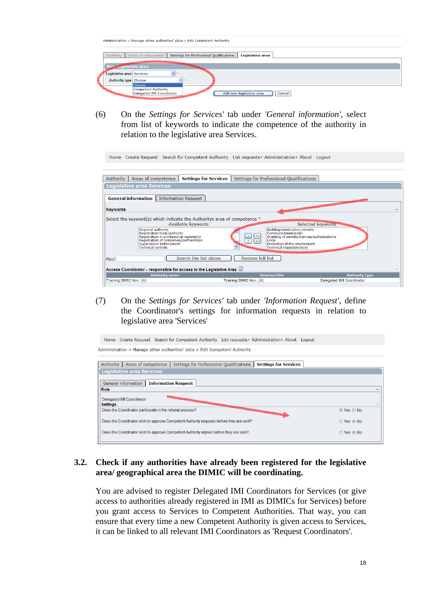|                              | Administration > Manage other authorities' data > Edit Competent Authority                    |
|------------------------------|-----------------------------------------------------------------------------------------------|
| Authority                    | Settings for Professional Qualifications<br>Legislative area<br>Areas of competence           |
| New Custative area           | An long look and and and and and cool (old (old ) on o cool (or                               |
| Legislative area Services    |                                                                                               |
| <b>Authority type Choose</b> | $\sim$<br>Choose                                                                              |
|                              | <b>Competent Authority</b><br>Delegated IMI Coordinator<br>Add new legislative area<br>Cancel |

(6) On the *Settings for Services'* tab under *'General information',* select from list of keywords to indicate the competence of the authority in relation to the legislative area Services.

Home Create Request Search for Competent Authority List requests ▶ Administration ▶ About Logout

| Authority       | Areas of competence                                                                                                                                                                              | <b>Settings for Services</b> |                   | Settings for Professional Qualifications                                                                                                                                                                |                       |
|-----------------|--------------------------------------------------------------------------------------------------------------------------------------------------------------------------------------------------|------------------------------|-------------------|---------------------------------------------------------------------------------------------------------------------------------------------------------------------------------------------------------|-----------------------|
|                 | <b>Legislative area Services</b>                                                                                                                                                                 |                              |                   |                                                                                                                                                                                                         |                       |
|                 | <b>General information</b>                                                                                                                                                                       | <b>Information Request</b>   |                   |                                                                                                                                                                                                         |                       |
| <b>Keywords</b> |                                                                                                                                                                                                  |                              |                   |                                                                                                                                                                                                         |                       |
|                 | Select the keyword(s) which indicate the Authoritys area of competence *                                                                                                                         |                              |                   |                                                                                                                                                                                                         |                       |
|                 | Regional authority<br>Registration body/authority<br>Registration in professional register(s)<br>Registration of companies/partnerships<br>Supervision/ Enforcement<br><b>Technical controls</b> | Available keywords           | ><br><<           | Selected keywords<br>Building/construction permits<br>Commune/municipality<br>Granting of permits/licences/authorisations<br>Local<br>Protection of the environment<br><b>Technical inspection body</b> |                       |
|                 |                                                                                                                                                                                                  | Search the list above        | Restore full list |                                                                                                                                                                                                         |                       |
| Find            | Access Coordinator - responsible for access to the Legislative Area                                                                                                                              |                              |                   |                                                                                                                                                                                                         |                       |
|                 | <b>Authority name</b>                                                                                                                                                                            |                              |                   | <b>Informal title</b>                                                                                                                                                                                   | <b>Authority type</b> |

(7) On the *Settings for Services'* tab under *'Information Request',* define the Coordinator's settings for information requests in relation to legislative area 'Services'



#### **3.2. Check if any authorities have already been registered for the legislative area/ geographical area the DIMIC will be coordinating.**

You are advised to register Delegated IMI Coordinators for Services (or give access to authorities already registered in IMI as DIMICs for Services) before you grant access to Services to Competent Authorities. That way, you can ensure that every time a new Competent Authority is given access to Services, it can be linked to all relevant IMI Coordinators as 'Request Coordinators'.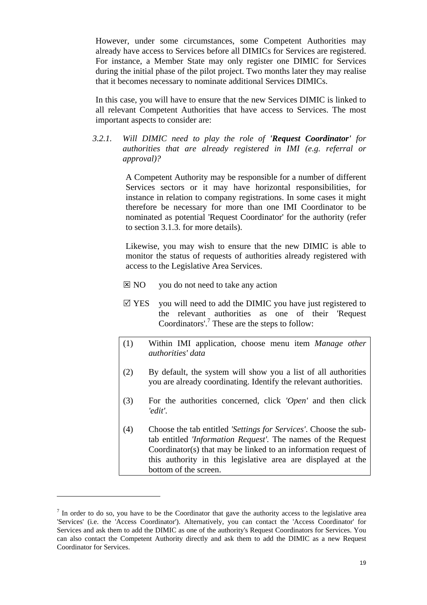However, under some circumstances, some Competent Authorities may already have access to Services before all DIMICs for Services are registered. For instance, a Member State may only register one DIMIC for Services during the initial phase of the pilot project. Two months later they may realise that it becomes necessary to nominate additional Services DIMICs.

In this case, you will have to ensure that the new Services DIMIC is linked to all relevant Competent Authorities that have access to Services. The most important aspects to consider are:

*3.2.1. Will DIMIC need to play the role of 'Request Coordinator' for authorities that are already registered in IMI (e.g. referral or approval)?* 

> A Competent Authority may be responsible for a number of different Services sectors or it may have horizontal responsibilities, for instance in relation to company registrations. In some cases it might therefore be necessary for more than one IMI Coordinator to be nominated as potential 'Request Coordinator' for the authority (refer to section 3.1.3. for more details).

> Likewise, you may wish to ensure that the new DIMIC is able to monitor the status of requests of authorities already registered with access to the Legislative Area Services.

- $\boxtimes$  NO you do not need to take any action
- $\boxtimes$  YES you will need to add the DIMIC you have just registered to the relevant authorities as one of their 'Request Coordinators'.<sup>7</sup> These are the steps to follow:
- (1) Within IMI application, choose menu item *Manage other authorities' data*
- (2) By default, the system will show you a list of all authorities you are already coordinating. Identify the relevant authorities.
- (3) For the authorities concerned, click *'Open'* and then click *'edit'*.
- (4) Choose the tab entitled *'Settings for Services'*. Choose the subtab entitled *'Information Request'.* The names of the Request Coordinator(s) that may be linked to an information request of this authority in this legislative area are displayed at the bottom of the screen.

 $<sup>7</sup>$  In order to do so, you have to be the Coordinator that gave the authority access to the legislative area</sup> 'Services' (i.e. the 'Access Coordinator'). Alternatively, you can contact the 'Access Coordinator' for Services and ask them to add the DIMIC as one of the authority's Request Coordinators for Services. You can also contact the Competent Authority directly and ask them to add the DIMIC as a new Request Coordinator for Services.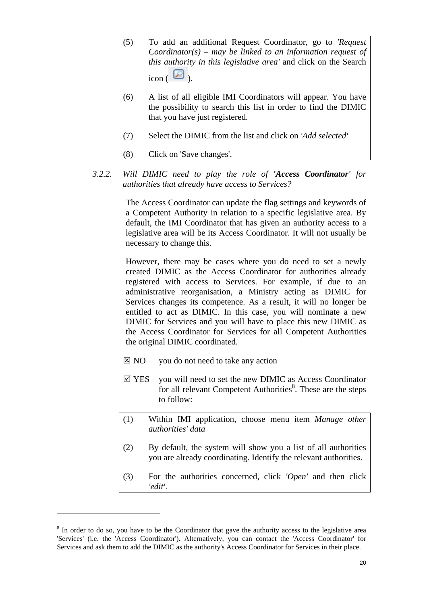- (5) To add an additional Request Coordinator, go to *'Request Coordinator(s) – may be linked to an information request of this authority in this legislative area'* and click on the Search  $\frac{1}{\text{icon}}$   $\left( \frac{1}{\text{O}} \right)$
- (6) A list of all eligible IMI Coordinators will appear. You have the possibility to search this list in order to find the DIMIC that you have just registered.
- (7) Select the DIMIC from the list and click on *'Add selected'*
- (8) Click on 'Save changes'.
- *3.2.2. Will DIMIC need to play the role of 'Access Coordinator' for authorities that already have access to Services?*

The Access Coordinator can update the flag settings and keywords of a Competent Authority in relation to a specific legislative area. By default, the IMI Coordinator that has given an authority access to a legislative area will be its Access Coordinator. It will not usually be necessary to change this.

However, there may be cases where you do need to set a newly created DIMIC as the Access Coordinator for authorities already registered with access to Services. For example, if due to an administrative reorganisation, a Ministry acting as DIMIC for Services changes its competence. As a result, it will no longer be entitled to act as DIMIC. In this case, you will nominate a new DIMIC for Services and you will have to place this new DIMIC as the Access Coordinator for Services for all Competent Authorities the original DIMIC coordinated.

- $\boxtimes$  NO you do not need to take any action
- $\boxtimes$  YES you will need to set the new DIMIC as Access Coordinator for all relevant Competent Authorities<sup>8</sup>. These are the steps to follow:
- (1) Within IMI application, choose menu item *Manage other authorities' data*
- (2) By default, the system will show you a list of all authorities you are already coordinating. Identify the relevant authorities.
- (3) For the authorities concerned, click *'Open'* and then click *'edit'*.

<sup>&</sup>lt;sup>8</sup> In order to do so, you have to be the Coordinator that gave the authority access to the legislative area 'Services' (i.e. the 'Access Coordinator'). Alternatively, you can contact the 'Access Coordinator' for Services and ask them to add the DIMIC as the authority's Access Coordinator for Services in their place.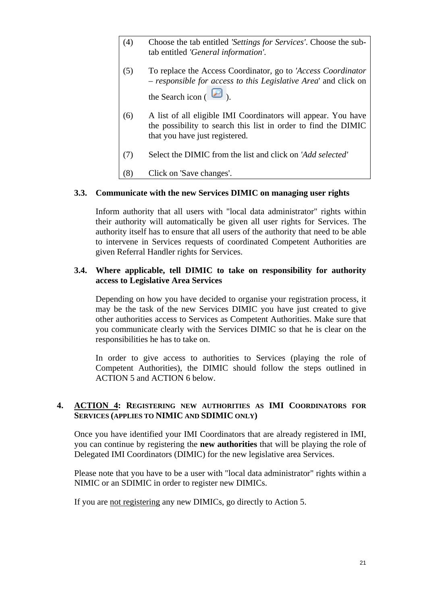- (4) Choose the tab entitled *'Settings for Services'*. Choose the subtab entitled *'General information'.*
- (5) To replace the Access Coordinator, go to *'Access Coordinator – responsible for access to this Legislative Area*' and click on the Search icon  $\left( \Box \right)$ .
- (6) A list of all eligible IMI Coordinators will appear. You have the possibility to search this list in order to find the DIMIC that you have just registered.
- (7) Select the DIMIC from the list and click on *'Add selected'*
- (8) Click on 'Save changes'.

#### **3.3. Communicate with the new Services DIMIC on managing user rights**

Inform authority that all users with "local data administrator" rights within their authority will automatically be given all user rights for Services. The authority itself has to ensure that all users of the authority that need to be able to intervene in Services requests of coordinated Competent Authorities are given Referral Handler rights for Services.

### **3.4. Where applicable, tell DIMIC to take on responsibility for authority access to Legislative Area Services**

Depending on how you have decided to organise your registration process, it may be the task of the new Services DIMIC you have just created to give other authorities access to Services as Competent Authorities. Make sure that you communicate clearly with the Services DIMIC so that he is clear on the responsibilities he has to take on.

In order to give access to authorities to Services (playing the role of Competent Authorities), the DIMIC should follow the steps outlined in ACTION 5 and ACTION 6 below.

## <span id="page-20-0"></span>**4. ACTION 4: REGISTERING NEW AUTHORITIES AS IMI COORDINATORS FOR SERVICES (APPLIES TO NIMIC AND SDIMIC ONLY)**

Once you have identified your IMI Coordinators that are already registered in IMI, you can continue by registering the **new authorities** that will be playing the role of Delegated IMI Coordinators (DIMIC) for the new legislative area Services.

Please note that you have to be a user with "local data administrator" rights within a NIMIC or an SDIMIC in order to register new DIMICs.

If you are not registering any new DIMICs, go directly to Action 5.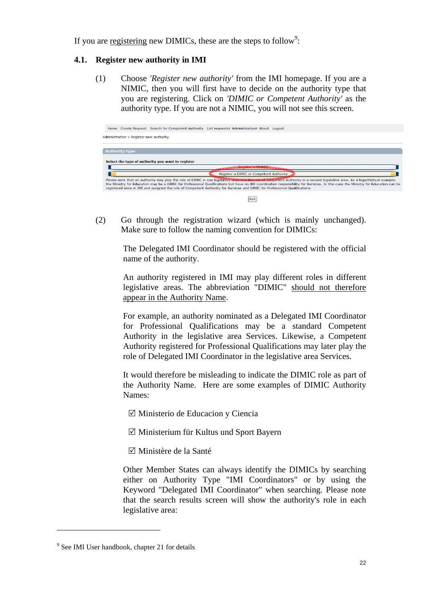If you are registering new DIMICs, these are the steps to follow<sup>9</sup>:

## **4.1. Register new authority in IMI**

(1) Choose *'Register new authority'* from the IMI homepage. If you are a NIMIC, then you will first have to decide on the authority type that you are registering. Click on *'DIMIC or Competent Authority'* as the authority type. If you are not a NIMIC, you will not see this screen.



(2) Go through the registration wizard (which is mainly unchanged). Make sure to follow the naming convention for DIMICs:

> The Delegated IMI Coordinator should be registered with the official name of the authority.

> An authority registered in IMI may play different roles in different legislative areas. The abbreviation "DIMIC" should not therefore appear in the Authority Name.

> For example, an authority nominated as a Delegated IMI Coordinator for Professional Qualifications may be a standard Competent Authority in the legislative area Services. Likewise, a Competent Authority registered for Professional Qualifications may later play the role of Delegated IMI Coordinator in the legislative area Services.

> It would therefore be misleading to indicate the DIMIC role as part of the Authority Name. Here are some examples of DIMIC Authority Names:

- $\boxtimes$  Ministerio de Educacion y Ciencia
- $\boxtimes$  Ministerium für Kultus und Sport Bayern
- 5 Ministère de la Santé

Other Member States can always identify the DIMICs by searching either on Authority Type "IMI Coordinators" or by using the Keyword "Delegated IMI Coordinator" when searching. Please note that the search results screen will show the authority's role in each legislative area:

<sup>&</sup>lt;sup>9</sup> See IMI User handbook, chapter 21 for details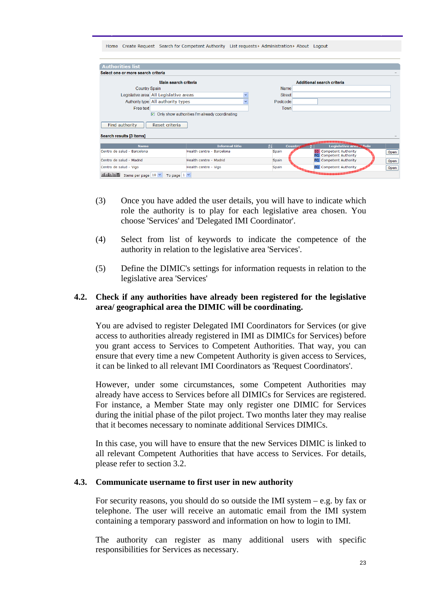| Create Request Search for Competent Authority List requests > Administration > About Logout<br>Home |                                                |                            |                                                  |      |  |  |  |
|-----------------------------------------------------------------------------------------------------|------------------------------------------------|----------------------------|--------------------------------------------------|------|--|--|--|
|                                                                                                     |                                                |                            |                                                  |      |  |  |  |
| <b>Authorities list</b>                                                                             |                                                |                            |                                                  |      |  |  |  |
| Select one or more search criteria                                                                  |                                                |                            |                                                  |      |  |  |  |
|                                                                                                     |                                                |                            |                                                  |      |  |  |  |
| Main search criteria                                                                                | Name                                           | Additional search criteria |                                                  |      |  |  |  |
|                                                                                                     | <b>Country Spain</b>                           |                            |                                                  |      |  |  |  |
| Legislative area All Legislative areas                                                              | $\checkmark$                                   | <b>Street</b>              |                                                  |      |  |  |  |
| Authority type All authority types                                                                  | Postcode                                       |                            |                                                  |      |  |  |  |
| Free text                                                                                           | Town                                           |                            |                                                  |      |  |  |  |
| $\overline{v}$                                                                                      | Only show authorities I'm already coordinating |                            |                                                  |      |  |  |  |
|                                                                                                     |                                                |                            |                                                  |      |  |  |  |
| <b>Find authority</b><br>Reset criteria                                                             |                                                |                            |                                                  |      |  |  |  |
| Search results [3 Items]                                                                            |                                                |                            |                                                  |      |  |  |  |
|                                                                                                     |                                                |                            |                                                  |      |  |  |  |
| <b>Name</b>                                                                                         | <b>Informal title</b>                          | $\frac{1}{2}$              | Legislative area & Role<br><b>Country</b>        |      |  |  |  |
| Centro de salud - Barcelona                                                                         | Health centre - Barcelona                      | Spain                      | <b>Competent Authority</b><br><b>SD</b>          | Open |  |  |  |
| Centro de salud - Madrid                                                                            | Health centre - Madrid                         | Spain                      | PQ Competent Authority<br>PQ Competent Authority | Open |  |  |  |
| Centro de salud - Vigo                                                                              | Health centre - Vigo                           | Spain                      | PQ Competent Authority                           |      |  |  |  |
| <b>TALET</b>                                                                                        |                                                |                            | <b>Barbaranan ang Pag</b>                        | Open |  |  |  |
| Items per page $10 \times$<br>To page $1 \vee$                                                      |                                                |                            |                                                  |      |  |  |  |

- (3) Once you have added the user details, you will have to indicate which role the authority is to play for each legislative area chosen. You choose 'Services' and 'Delegated IMI Coordinator'.
- (4) Select from list of keywords to indicate the competence of the authority in relation to the legislative area 'Services'.
- (5) Define the DIMIC's settings for information requests in relation to the legislative area 'Services'

#### **4.2. Check if any authorities have already been registered for the legislative area/ geographical area the DIMIC will be coordinating.**

You are advised to register Delegated IMI Coordinators for Services (or give access to authorities already registered in IMI as DIMICs for Services) before you grant access to Services to Competent Authorities. That way, you can ensure that every time a new Competent Authority is given access to Services, it can be linked to all relevant IMI Coordinators as 'Request Coordinators'.

However, under some circumstances, some Competent Authorities may already have access to Services before all DIMICs for Services are registered. For instance, a Member State may only register one DIMIC for Services during the initial phase of the pilot project. Two months later they may realise that it becomes necessary to nominate additional Services DIMICs.

In this case, you will have to ensure that the new Services DIMIC is linked to all relevant Competent Authorities that have access to Services. For details, please refer to section 3.2.

#### **4.3. Communicate username to first user in new authority**

For security reasons, you should do so outside the IMI system  $-$  e.g. by fax or telephone. The user will receive an automatic email from the IMI system containing a temporary password and information on how to login to IMI.

The authority can register as many additional users with specific responsibilities for Services as necessary.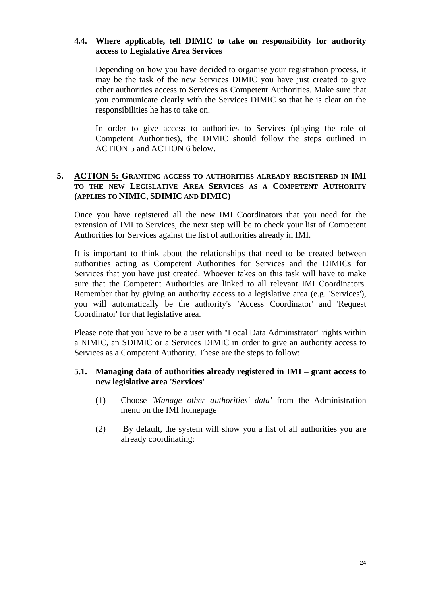### **4.4. Where applicable, tell DIMIC to take on responsibility for authority access to Legislative Area Services**

Depending on how you have decided to organise your registration process, it may be the task of the new Services DIMIC you have just created to give other authorities access to Services as Competent Authorities. Make sure that you communicate clearly with the Services DIMIC so that he is clear on the responsibilities he has to take on.

In order to give access to authorities to Services (playing the role of Competent Authorities), the DIMIC should follow the steps outlined in ACTION 5 and ACTION 6 below.

## <span id="page-23-0"></span>**5. ACTION 5: GRANTING ACCESS TO AUTHORITIES ALREADY REGISTERED IN IMI TO THE NEW LEGISLATIVE AREA SERVICES AS A COMPETENT AUTHORITY (APPLIES TO NIMIC, SDIMIC AND DIMIC)**

Once you have registered all the new IMI Coordinators that you need for the extension of IMI to Services, the next step will be to check your list of Competent Authorities for Services against the list of authorities already in IMI.

It is important to think about the relationships that need to be created between authorities acting as Competent Authorities for Services and the DIMICs for Services that you have just created. Whoever takes on this task will have to make sure that the Competent Authorities are linked to all relevant IMI Coordinators. Remember that by giving an authority access to a legislative area (e.g. 'Services'), you will automatically be the authority's 'Access Coordinator' and 'Request Coordinator' for that legislative area.

Please note that you have to be a user with "Local Data Administrator" rights within a NIMIC, an SDIMIC or a Services DIMIC in order to give an authority access to Services as a Competent Authority. These are the steps to follow:

#### **5.1. Managing data of authorities already registered in IMI – grant access to new legislative area 'Services'**

- (1) Choose *'Manage other authorities' data'* from the Administration menu on the IMI homepage
- (2) By default, the system will show you a list of all authorities you are already coordinating: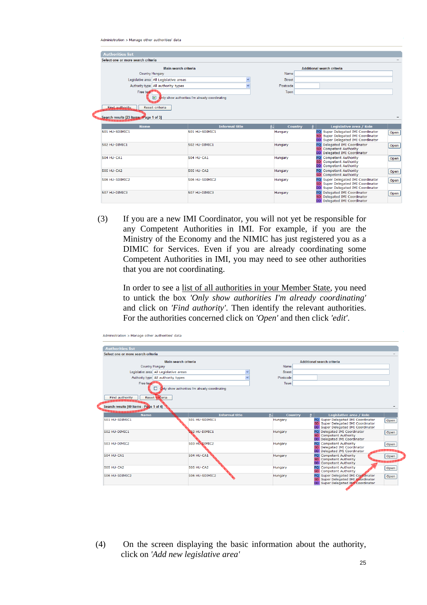Administration > Manage other authorities' data

| <b>Authorities list</b>                           |                                                |                          |                                                                          |                                      |
|---------------------------------------------------|------------------------------------------------|--------------------------|--------------------------------------------------------------------------|--------------------------------------|
| Select one or more search criteria                |                                                |                          |                                                                          |                                      |
|                                                   |                                                |                          |                                                                          |                                      |
|                                                   | Main search criteria                           |                          | <b>Additional search criteria</b>                                        |                                      |
| Country Hungary                                   |                                                | Name                     |                                                                          |                                      |
| Legislative area All Legislative areas            |                                                | <b>Street</b>            |                                                                          |                                      |
| Authority type All authority types                |                                                | Postcode                 |                                                                          |                                      |
| Free text                                         |                                                | Town                     |                                                                          |                                      |
| ☑                                                 | inly show authorities I'm already coordinating |                          |                                                                          |                                      |
|                                                   |                                                |                          |                                                                          |                                      |
| <b>Eind authority</b><br>Reset criteria           |                                                |                          |                                                                          |                                      |
|                                                   |                                                |                          |                                                                          |                                      |
| Search results [23 Items Page 1 of 3]             |                                                |                          |                                                                          |                                      |
| <b>Name</b>                                       | <b>Informal title</b>                          | $\frac{1}{2}$<br>Country | Legislative area / Role                                                  |                                      |
| 501 HU-SDIMIC1                                    | 501 HU-SDIMIC1                                 | Hungary                  | PQ Super Delegated IMI Coordinator                                       | Open                                 |
|                                                   |                                                |                          | SD Super Delegated IMI Coordinator<br>DD Super Delegated IMI Coordinator |                                      |
| 502 HU-DIMIC1                                     | 502 HU-DIMIC1                                  | Hungary                  | PQ Delegated IMI Coordinator                                             |                                      |
|                                                   |                                                |                          |                                                                          |                                      |
|                                                   |                                                |                          | <b>SD</b> Competent Authority                                            |                                      |
|                                                   |                                                |                          | DD Delegated IMI Coordinator                                             |                                      |
|                                                   | 504 HU-CA1                                     | Hungary                  | PQ Competent Authority                                                   |                                      |
|                                                   |                                                |                          | <b>SD</b> Competent Authority<br><b>DD</b> Competent Authority           |                                      |
|                                                   | <b>505 HU-CA2</b>                              | Hungary                  | PQ Competent Authority                                                   |                                      |
|                                                   |                                                |                          | SD Competent Authority                                                   |                                      |
|                                                   | 506 HU-SDIMIC2                                 | Hungary                  | PQ Super Delegated IMI Coordinator<br>SD Super Delegated IMI Coordinator |                                      |
| 504 HU-CA1<br><b>505 HU-CA2</b><br>506 HU-SDIMIC2 |                                                |                          | DD Super Delegated IMI Coordinator                                       |                                      |
| 507 HU-DIMIC3                                     | 507 HU-DIMIC3                                  | Hungary                  | PO Delegated IMI Coordinator<br>SD Delegated IMI Coordinator             | Open<br>Open<br>Open<br>Open<br>Open |

(3) If you are a new IMI Coordinator, you will not yet be responsible for any Competent Authorities in IMI. For example, if you are the Ministry of the Economy and the NIMIC has just registered you as a DIMIC for Services. Even if you are already coordinating some Competent Authorities in IMI, you may need to see other authorities that you are not coordinating.

In order to see a list of all authorities in your Member State, you need to untick the box *'Only show authorities I'm already coordinating'*  and click on *'Find authority'*. Then identify the relevant authorities. For the authorities concerned click on *'Open'* and then click *'edit'*.

| Select one or more search criteria                                                             |                                                |                          |                                                                                                           |      |
|------------------------------------------------------------------------------------------------|------------------------------------------------|--------------------------|-----------------------------------------------------------------------------------------------------------|------|
|                                                                                                |                                                |                          |                                                                                                           |      |
|                                                                                                | Main search criteria                           |                          | <b>Additional search criteria</b>                                                                         |      |
| Country Hungary                                                                                |                                                | Name                     |                                                                                                           |      |
| Legislative area All Legislative areas                                                         |                                                | Street                   |                                                                                                           |      |
| Authority type All authority types                                                             |                                                | Postcode                 |                                                                                                           |      |
| Free text                                                                                      |                                                | Town                     |                                                                                                           |      |
|                                                                                                | Only show authorities I'm already coordinating |                          |                                                                                                           |      |
|                                                                                                |                                                |                          |                                                                                                           |      |
| Find authority<br>Reset criteria                                                               |                                                |                          |                                                                                                           |      |
| Search results [40 Items - Page 1 of 4]                                                        |                                                |                          |                                                                                                           |      |
|                                                                                                |                                                |                          |                                                                                                           |      |
|                                                                                                |                                                |                          |                                                                                                           |      |
| <b>Name</b>                                                                                    | <b>Informal title</b>                          | $\frac{1}{2}$<br>Country | Legislative area / Role                                                                                   |      |
|                                                                                                | 501 HU-SDIMIC1                                 | Hungary                  | PQ Super Delegated IMI Coordinator                                                                        | Open |
|                                                                                                |                                                |                          | <b>SD</b> Super Delegated IMI Coordinator<br>DD Super Delegated IMI Coordinator                           |      |
|                                                                                                | <b>S02 HU-DIMIC1</b>                           | Hungary                  | PQ Delegated IMI Coordinator                                                                              | Open |
|                                                                                                |                                                |                          | SD Competent Authority                                                                                    |      |
|                                                                                                | 503 HU-DIMIC2                                  | Hungary                  | DD Delegated IMI Coordinator<br>PQ Competent Authority                                                    |      |
|                                                                                                |                                                |                          | Delegated IMI Coordinator<br>SD.                                                                          | Open |
|                                                                                                |                                                |                          | DD Delegated IMI Coordinator                                                                              |      |
|                                                                                                | 504 HU-CA1                                     | Hungary                  | <b>PO</b> Competent Authority<br><b>SD</b> Competent Authority                                            | Open |
|                                                                                                |                                                |                          | <b>DD</b> Competent Authority                                                                             |      |
|                                                                                                | <b>505 HU-CA2</b>                              | Hungary                  | PQ Competent Authority                                                                                    | Open |
| 501 HU-SDIMIC1<br>502 HU-DIMIC1<br>503 HU-DIMIC2<br>504 HU-CA1<br>505 HU-CA2<br>506 HU-SDIMIC2 | 506 HU-SDIMIC2                                 | Hungary                  | <b>SD</b> Competent Authority<br>PQ Super Delegated IMI Coordinator<br>SD Super Delegated IMI Coordinator | Open |

(4) On the screen displaying the basic information about the authority, click on *'Add new legislative area'*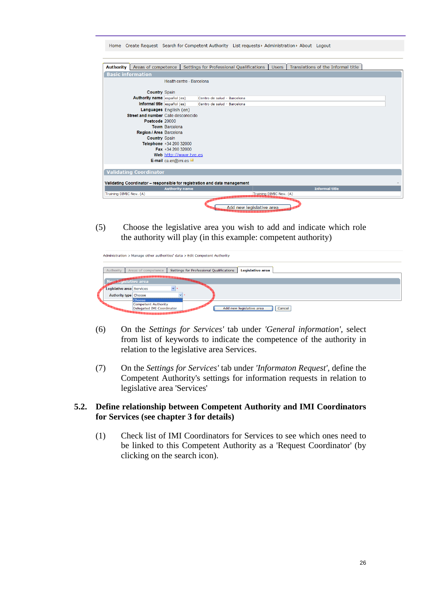| Home Create Request Search for Competent Authority List requests > Administration > About Logout |                                            |                                                                                                |  |  |  |
|--------------------------------------------------------------------------------------------------|--------------------------------------------|------------------------------------------------------------------------------------------------|--|--|--|
| <b>Authority</b><br>Areas of competence                                                          |                                            | Translations of the Informal title<br>Settings for Professional Qualifications<br><b>Users</b> |  |  |  |
| <b>Basic information</b>                                                                         |                                            |                                                                                                |  |  |  |
|                                                                                                  | Health centre - Barcelona                  |                                                                                                |  |  |  |
| <b>Country Spain</b>                                                                             |                                            |                                                                                                |  |  |  |
| Authority name español (es)                                                                      |                                            | Centro de salud - Barcelona                                                                    |  |  |  |
| Informal title español (es)                                                                      |                                            | Centro de salud - Barcelona                                                                    |  |  |  |
|                                                                                                  | Languages English (en)                     |                                                                                                |  |  |  |
| Street and number Calle desconocido                                                              |                                            |                                                                                                |  |  |  |
| Postcode 20000                                                                                   |                                            |                                                                                                |  |  |  |
|                                                                                                  | <b>Town Barcelona</b>                      |                                                                                                |  |  |  |
| Region / Area Barcelona                                                                          |                                            |                                                                                                |  |  |  |
| <b>Country Spain</b>                                                                             |                                            |                                                                                                |  |  |  |
|                                                                                                  | Telephone +34 200 32000                    |                                                                                                |  |  |  |
|                                                                                                  | Fax $+3420032000$<br>Web http://www.tve.es |                                                                                                |  |  |  |
|                                                                                                  | <b>E-mail</b> ca.en@imi.es                 |                                                                                                |  |  |  |
|                                                                                                  |                                            |                                                                                                |  |  |  |
| <b>Validating Coordinator</b>                                                                    |                                            |                                                                                                |  |  |  |
|                                                                                                  |                                            |                                                                                                |  |  |  |
| Validating Coordinator - responsible for registration and data management                        |                                            |                                                                                                |  |  |  |
|                                                                                                  | <b>Authority name</b>                      | <b>Informal title</b>                                                                          |  |  |  |
| Training DIMIC Nov. (A)                                                                          |                                            | Training DIMIC Nov. (A)                                                                        |  |  |  |
|                                                                                                  |                                            | Add new legislative area                                                                       |  |  |  |

(5) Choose the legislative area you wish to add and indicate which role the authority will play (in this example: competent authority)

|                              | Administration > Manage other authorities' data > Edit Competent Authority |                                          |                          |        |  |
|------------------------------|----------------------------------------------------------------------------|------------------------------------------|--------------------------|--------|--|
| Authority                    | Areas of competence                                                        | Settings for Professional Qualifications | Legislative area         |        |  |
| News Cystative area          |                                                                            |                                          |                          |        |  |
| Legislative area Services    |                                                                            |                                          |                          |        |  |
| <b>Authority type Choose</b> | Choose                                                                     | $\vee$                                   |                          |        |  |
|                              | <b>Competent Authority</b><br>Delegated IMI Coordinator                    |                                          | Add new legislative area | Cancel |  |

- (6) On the *Settings for Services'* tab under *'General information',* select from list of keywords to indicate the competence of the authority in relation to the legislative area Services.
- (7) On the *Settings for Services'* tab under *'Informaton Request',* define the Competent Authority's settings for information requests in relation to legislative area 'Services'

#### **5.2. Define relationship between Competent Authority and IMI Coordinators for Services (see chapter 3 for details)**

(1) Check list of IMI Coordinators for Services to see which ones need to be linked to this Competent Authority as a 'Request Coordinator' (by clicking on the search icon).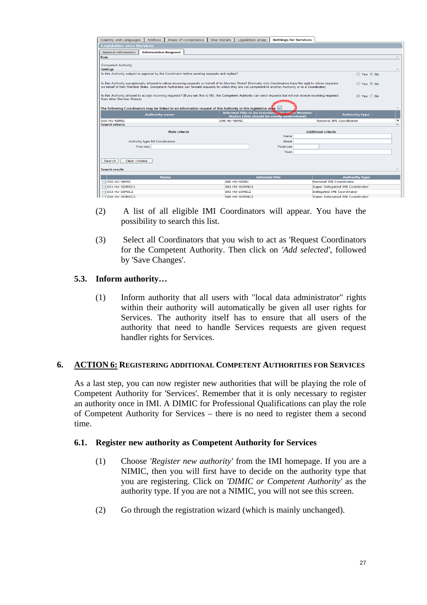| Country and Languages<br><b>Address</b><br>Areas of competence<br><b>User Details</b>                                                                                                                                                                                                                                                    | Legislative areas<br><b>Settings for Services</b>                                                                                                                                |                                                              |  |  |  |  |  |
|------------------------------------------------------------------------------------------------------------------------------------------------------------------------------------------------------------------------------------------------------------------------------------------------------------------------------------------|----------------------------------------------------------------------------------------------------------------------------------------------------------------------------------|--------------------------------------------------------------|--|--|--|--|--|
| <b>Legislative area Services</b>                                                                                                                                                                                                                                                                                                         |                                                                                                                                                                                  |                                                              |  |  |  |  |  |
| <b>Information Request</b><br>General information                                                                                                                                                                                                                                                                                        |                                                                                                                                                                                  |                                                              |  |  |  |  |  |
| Role                                                                                                                                                                                                                                                                                                                                     |                                                                                                                                                                                  |                                                              |  |  |  |  |  |
|                                                                                                                                                                                                                                                                                                                                          |                                                                                                                                                                                  |                                                              |  |  |  |  |  |
| <b>Competent Authority</b>                                                                                                                                                                                                                                                                                                               |                                                                                                                                                                                  |                                                              |  |  |  |  |  |
| <b>Settings</b><br>Is this Authority subject to approval by the Coordinator before sending requests and replies?<br>O Yes O No                                                                                                                                                                                                           |                                                                                                                                                                                  |                                                              |  |  |  |  |  |
|                                                                                                                                                                                                                                                                                                                                          |                                                                                                                                                                                  |                                                              |  |  |  |  |  |
| Is this Authority exceptionally allowed to refuse incoming requests on behalf of its Member State? (Normally only Coordinators have the right to refuse requests<br>○ Yes ⊙ No<br>on behalf of their Member State. Competent Authorities can forward requests for which they are not competent to another Authority or to a Coordinator) |                                                                                                                                                                                  |                                                              |  |  |  |  |  |
| Is this Authority allowed to accept incoming requests? (If you set this to NO, the Competent Authority can send requests but will not receive incoming requests<br>$\odot$ Yes $\odot$ No<br>from other Member States)                                                                                                                   |                                                                                                                                                                                  |                                                              |  |  |  |  |  |
|                                                                                                                                                                                                                                                                                                                                          | لُّتَكَ The following Coordinators may be linked to an information request of this Authority in this legislative area<br><b>Informal title to be translated for other Member</b> |                                                              |  |  |  |  |  |
| <b>Authority name</b><br><b>Authority type</b><br>States (this should be easily understood)                                                                                                                                                                                                                                              |                                                                                                                                                                                  |                                                              |  |  |  |  |  |
| 500 HU-NIMIC                                                                                                                                                                                                                                                                                                                             | 500 HU-NIMIC                                                                                                                                                                     | $\boldsymbol{\mathsf{x}}$<br>National IMI Coordinator        |  |  |  |  |  |
| Search criteria                                                                                                                                                                                                                                                                                                                          |                                                                                                                                                                                  |                                                              |  |  |  |  |  |
| <b>Main criteria</b>                                                                                                                                                                                                                                                                                                                     |                                                                                                                                                                                  | <b>Additional criteria</b>                                   |  |  |  |  |  |
|                                                                                                                                                                                                                                                                                                                                          | Name                                                                                                                                                                             |                                                              |  |  |  |  |  |
| Authority type IMI Coordinators                                                                                                                                                                                                                                                                                                          | <b>Street</b>                                                                                                                                                                    |                                                              |  |  |  |  |  |
|                                                                                                                                                                                                                                                                                                                                          | Free text<br>Postcode                                                                                                                                                            |                                                              |  |  |  |  |  |
| Town                                                                                                                                                                                                                                                                                                                                     |                                                                                                                                                                                  |                                                              |  |  |  |  |  |
| Clear criteria<br>Search                                                                                                                                                                                                                                                                                                                 |                                                                                                                                                                                  |                                                              |  |  |  |  |  |
| <b>Search results</b>                                                                                                                                                                                                                                                                                                                    |                                                                                                                                                                                  |                                                              |  |  |  |  |  |
|                                                                                                                                                                                                                                                                                                                                          |                                                                                                                                                                                  |                                                              |  |  |  |  |  |
| <b>Name</b>                                                                                                                                                                                                                                                                                                                              | <b>Informal title</b>                                                                                                                                                            | <b>Authority type</b><br>National IMI Coordinator            |  |  |  |  |  |
| 500 HU-NIMIC<br>S01 HU-SDIMIC1                                                                                                                                                                                                                                                                                                           | 500 HU-NIMIC                                                                                                                                                                     |                                                              |  |  |  |  |  |
|                                                                                                                                                                                                                                                                                                                                          | 501 HU-SDIMIC1                                                                                                                                                                   | Super Delegated IMI Coordinator<br>Delegated IMI Coordinator |  |  |  |  |  |
| 503 HU-DIMIC2<br>503 HU-DIMIC2<br>П<br><b>T 506 HU-SDIMIC2</b><br>506 HU-SDIMIC2<br>Super Delegated IMI Coordinator                                                                                                                                                                                                                      |                                                                                                                                                                                  |                                                              |  |  |  |  |  |

- (2) A list of all eligible IMI Coordinators will appear. You have the possibility to search this list.
- (3) Select all Coordinators that you wish to act as 'Request Coordinators for the Competent Authority. Then click on *'Add selected'*, followed by 'Save Changes'.

#### **5.3. Inform authority…**

(1) Inform authority that all users with "local data administrator" rights within their authority will automatically be given all user rights for Services. The authority itself has to ensure that all users of the authority that need to handle Services requests are given request handler rights for Services.

#### <span id="page-26-0"></span>**6. ACTION 6: REGISTERING ADDITIONAL COMPETENT AUTHORITIES FOR SERVICES**

As a last step, you can now register new authorities that will be playing the role of Competent Authority for 'Services'. Remember that it is only necessary to register an authority once in IMI. A DIMIC for Professional Qualifications can play the role of Competent Authority for Services – there is no need to register them a second time.

#### **6.1. Register new authority as Competent Authority for Services**

- (1) Choose *'Register new authority'* from the IMI homepage. If you are a NIMIC, then you will first have to decide on the authority type that you are registering. Click on *'DIMIC or Competent Authority'* as the authority type. If you are not a NIMIC, you will not see this screen.
- (2) Go through the registration wizard (which is mainly unchanged).